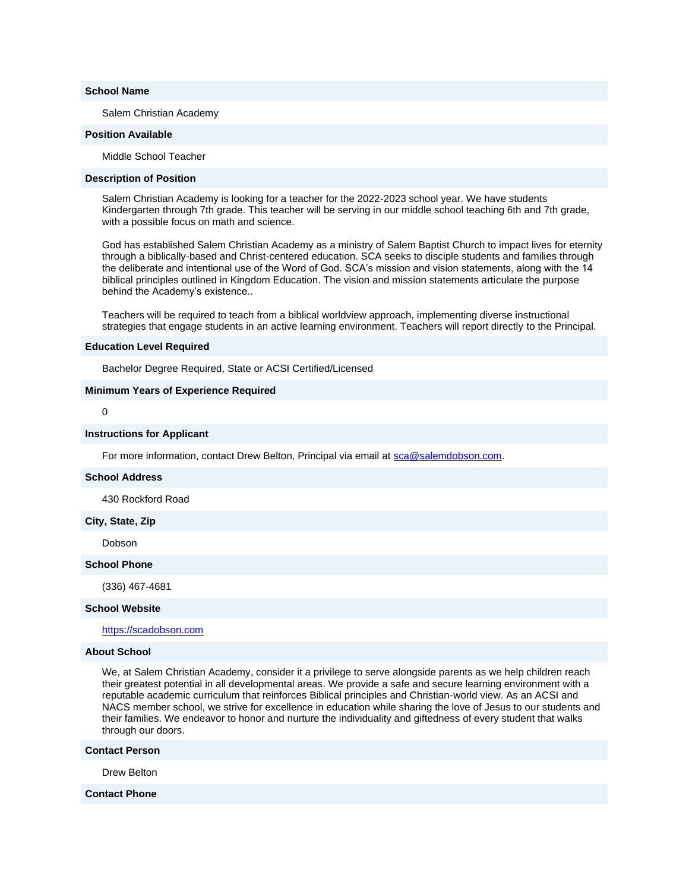### **School Name**

Salem Christian Academy

### **Position Available**

Middle School Teacher

### **Description of Position**

Salem Christian Academy is looking for a teacher for the 2022-2023 school year. We have students Kindergarten through 7th grade. This teacher will be serving in our middle school teaching 6th and 7th grade, with a possible focus on math and science.

God has established Salem Christian Academy as a ministry of Salem Baptist Church to impact lives for eternity through a biblically-based and Christ-centered education. SCA seeks to disciple students and families through the deliberate and intentional use of the Word of God. SCA's mission and vision statements, along with the 14 biblical principles outlined in Kingdom Education. The vision and mission statements articulate the purpose behind the Academy's existence..

Teachers will be required to teach from a biblical worldview approach, implementing diverse instructional strategies that engage students in an active learning environment. Teachers will report directly to the Principal.

### **Education Level Required**

Bachelor Degree Required, State or ACSI Certified/Licensed

### **Minimum Years of Experience Required**

## 0

#### **Instructions for Applicant**

For more information, contact Drew Belton, Principal via email at [sca@salemdobson.com.](mailto:sca@salemdobson.com)

#### **School Address**

430 Rockford Road

### **City, State, Zip**

Dobson

### **School Phone**

(336) 467-4681

#### **School Website**

[https://scadobson.com](http://email.nacschools-org.nsmail1.com/c/eJxVzT0OwyAMQOHThK3I5i_OwNCl9wADTaQEVyH3V6Nuld78vhLdEixXtUUDxoA1Fp1HBL2AJwgWIdcZCuXJQU88eBXZx0POt-7jSNuOmuVQa0ROjgJh5ZTINT8HgqWUTDl4P_um9rhe12dM9jmZ193gVCQP6b_BGbfe5A_RN_IFR2Qwtg)

## **About School**

We, at Salem Christian Academy, consider it a privilege to serve alongside parents as we help children reach their greatest potential in all developmental areas. We provide a safe and secure learning environment with a reputable academic curriculum that reinforces Biblical principles and Christian-world view. As an ACSI and NACS member school, we strive for excellence in education while sharing the love of Jesus to our students and their families. We endeavor to honor and nurture the individuality and giftedness of every student that walks through our doors.

#### **Contact Person**

Drew Belton

#### **Contact Phone**